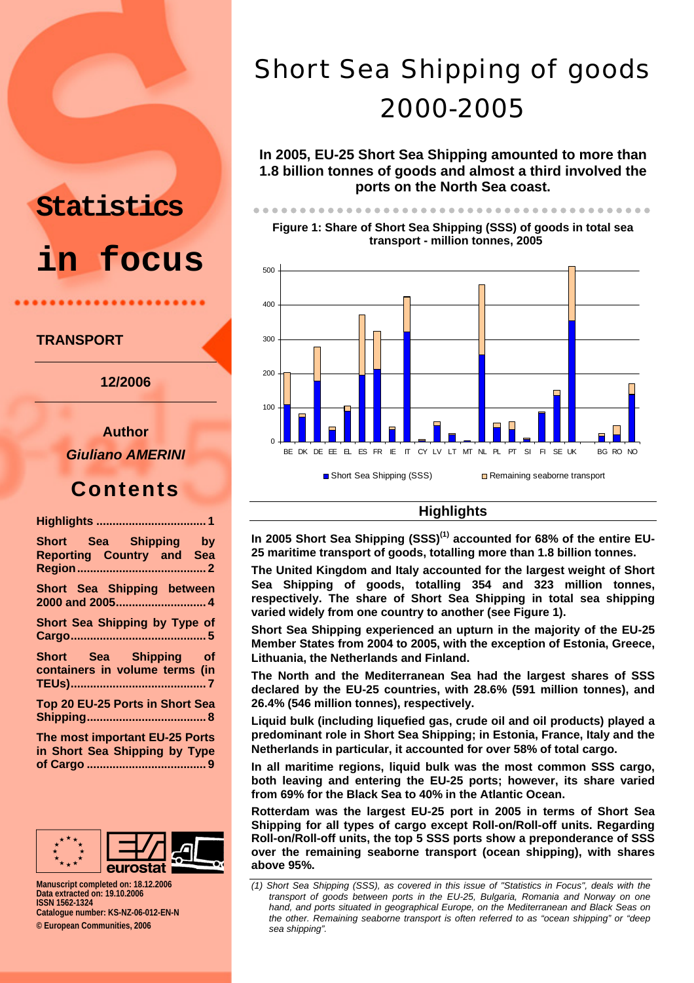# **Statistics in focus**

## **TRANSPORT**

**12/2006** 

**Author**  *Giuliano AMERINI* 

## **Contents**

| Short Sea Shipping by<br><b>Reporting Country and Sea</b>       |
|-----------------------------------------------------------------|
| Short Sea Shipping between<br>2000 and 2005 4                   |
| Short Sea Shipping by Type of                                   |
| Short Sea Shipping of<br>containers in volume terms (in         |
| Top 20 EU-25 Ports in Short Sea                                 |
| The most important EU-25 Ports<br>in Short Sea Shipping by Type |



**of Cargo ..................................... 9**

**Manuscript completed on: 18.12.2006 Data extracted on: 19.10.2006 ISSN 1562-1324 Catalogue number: KS-NZ-06-012-EN-N** 

**© European Communities, 2006** 

# Short Sea Shipping of goods 2000-2005

**In 2005, EU-25 Short Sea Shipping amounted to more than 1.8 billion tonnes of goods and almost a third involved the ports on the North Sea coast.** 

zzzzzzzzzzzzzzzzzzzzzzzzzzzzzzzzzzzzzzzzzzz

**Figure 1: Share of Short Sea Shipping (SSS) of goods in total sea transport - million tonnes, 2005** 



## **Highlights**

In 2005 Short Sea Shipping (SSS)<sup>(1)</sup> accounted for 68% of the entire EU-**25 maritime transport of goods, totalling more than 1.8 billion tonnes.** 

**The United Kingdom and Italy accounted for the largest weight of Short Sea Shipping of goods, totalling 354 and 323 million tonnes, respectively. The share of Short Sea Shipping in total sea shipping varied widely from one country to another (see Figure 1).** 

**Short Sea Shipping experienced an upturn in the majority of the EU-25 Member States from 2004 to 2005, with the exception of Estonia, Greece, Lithuania, the Netherlands and Finland.** 

**The North and the Mediterranean Sea had the largest shares of SSS declared by the EU-25 countries, with 28.6% (591 million tonnes), and 26.4% (546 million tonnes), respectively.** 

**Liquid bulk (including liquefied gas, crude oil and oil products) played a predominant role in Short Sea Shipping; in Estonia, France, Italy and the Netherlands in particular, it accounted for over 58% of total cargo.** 

**In all maritime regions, liquid bulk was the most common SSS cargo, both leaving and entering the EU-25 ports; however, its share varied from 69% for the Black Sea to 40% in the Atlantic Ocean.** 

**Rotterdam was the largest EU-25 port in 2005 in terms of Short Sea Shipping for all types of cargo except Roll-on/Roll-off units. Regarding Roll-on/Roll-off units, the top 5 SSS ports show a preponderance of SSS over the remaining seaborne transport (ocean shipping), with shares above 95%.**

*<sup>(1)</sup> Short Sea Shipping (SSS), as covered in this issue of "Statistics in Focus", deals with the transport of goods between ports in the EU-25, Bulgaria, Romania and Norway on one hand, and ports situated in geographical Europe, on the Mediterranean and Black Seas on the other. Remaining seaborne transport is often referred to as "ocean shipping" or "deep sea shipping".*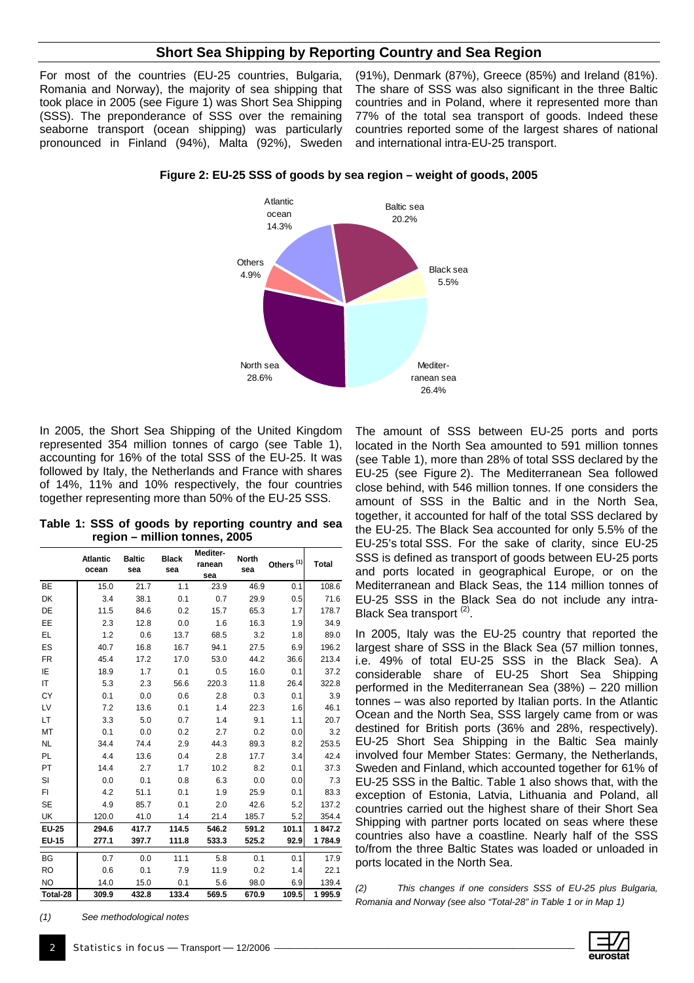### **Short Sea Shipping by Reporting Country and Sea Region**

For most of the countries (EU-25 countries, Bulgaria, Romania and Norway), the majority of sea shipping that took place in 2005 (see Figure 1) was Short Sea Shipping (SSS). The preponderance of SSS over the remaining seaborne transport (ocean shipping) was particularly pronounced in Finland (94%), Malta (92%), Sweden

(91%), Denmark (87%), Greece (85%) and Ireland (81%). The share of SSS was also significant in the three Baltic countries and in Poland, where it represented more than 77% of the total sea transport of goods. Indeed these countries reported some of the largest shares of national and international intra-EU-25 transport.

**Atlantic** ocean 14.3% Baltic sea 20.2% Black sea 5.5% Mediterranean sea 26.4% North sea 28.6% **Others** 4.9%

**Figure 2: EU-25 SSS of goods by sea region – weight of goods, 2005** 

In 2005, the Short Sea Shipping of the United Kingdom represented 354 million tonnes of cargo (see Table 1), accounting for 16% of the total SSS of the EU-25. It was followed by Italy, the Netherlands and France with shares of 14%, 11% and 10% respectively, the four countries together representing more than 50% of the EU-25 SSS.

**Table 1: SSS of goods by reporting country and sea region – million tonnes, 2005**

|              | <b>Atlantic</b><br>ocean | <b>Baltic</b><br>sea | <b>Black</b><br>sea | Mediter-<br>ranean<br>sea | <b>North</b><br>sea | Others <sup>(1)</sup> | Total  |
|--------------|--------------------------|----------------------|---------------------|---------------------------|---------------------|-----------------------|--------|
| BE           | 15.0                     | 21.7                 | 1.1                 | 23.9                      | 46.9                | 0.1                   | 108.6  |
| DK           | 3.4                      | 38.1                 | 0.1                 | 0.7                       | 29.9                | 0.5                   | 71.6   |
| DE           | 11.5                     | 84.6                 | 0.2                 | 15.7                      | 65.3                | 1.7                   | 178.7  |
| EE           | 2.3                      | 12.8                 | 0.0                 | 1.6                       | 16.3                | 1.9                   | 34.9   |
| EL           | 1.2                      | 0.6                  | 13.7                | 68.5                      | 3.2                 | 1.8                   | 89.0   |
| ES           | 40.7                     | 16.8                 | 16.7                | 94.1                      | 27.5                | 6.9                   | 196.2  |
| FR           | 45.4                     | 17.2                 | 17.0                | 53.0                      | 44.2                | 36.6                  | 213.4  |
| ΙE           | 18.9                     | 1.7                  | 0.1                 | 0.5                       | 16.0                | 0.1                   | 37.2   |
| IT.          | 5.3                      | 2.3                  | 56.6                | 220.3                     | 11.8                | 26.4                  | 322.8  |
| СY           | 0.1                      | 0.0                  | 0.6                 | 2.8                       | 0.3                 | 0.1                   | 3.9    |
| LV           | 7.2                      | 13.6                 | 0.1                 | 1.4                       | 22.3                | 1.6                   | 46.1   |
| LT           | 3.3                      | 5.0                  | 0.7                 | 1.4                       | 9.1                 | 1.1                   | 20.7   |
| МT           | 0.1                      | 0.0                  | 0.2                 | 2.7                       | 0.2                 | 0.0                   | 3.2    |
| <b>NL</b>    | 34.4                     | 74.4                 | 2.9                 | 44.3                      | 89.3                | 8.2                   | 253.5  |
| PL           | 4.4                      | 13.6                 | 0.4                 | 2.8                       | 17.7                | 3.4                   | 42.4   |
| PT.          | 14.4                     | 2.7                  | 1.7                 | 10.2                      | 8.2                 | 0.1                   | 37.3   |
| SI           | 0.0                      | 0.1                  | 0.8                 | 6.3                       | 0.0                 | 0.0                   | 7.3    |
| FI           | 4.2                      | 51.1                 | 0.1                 | 1.9                       | 25.9                | 0.1                   | 83.3   |
| <b>SE</b>    | 4.9                      | 85.7                 | 0.1                 | 2.0                       | 42.6                | 5.2                   | 137.2  |
| UK           | 120.0                    | 41.0                 | 1.4                 | 21.4                      | 185.7               | 5.2                   | 354.4  |
| <b>EU-25</b> | 294.6                    | 417.7                | 114.5               | 546.2                     | 591.2               | 101.1                 | 1847.2 |
| <b>EU-15</b> | 277.1                    | 397.7                | 111.8               | 533.3                     | 525.2               | 92.9                  | 1784.9 |
| BG           | 0.7                      | 0.0                  | 11.1                | 5.8                       | 0.1                 | 0.1                   | 17.9   |
| <b>RO</b>    | 0.6                      | 0.1                  | 7.9                 | 11.9                      | 0.2                 | 1.4                   | 22.1   |
| <b>NO</b>    | 14.0                     | 15.0                 | 0.1                 | 5.6                       | 98.0                | 6.9                   | 139.4  |
| Total-28     | 309.9                    | 432.8                | 133.4               | 569.5                     | 670.9               | 109.5                 | 1995.9 |

The amount of SSS between EU-25 ports and ports located in the North Sea amounted to 591 million tonnes (see Table 1), more than 28% of total SSS declared by the EU-25 (see Figure 2). The Mediterranean Sea followed close behind, with 546 million tonnes. If one considers the amount of SSS in the Baltic and in the North Sea, together, it accounted for half of the total SSS declared by the EU-25. The Black Sea accounted for only 5.5% of the EU-25's total SSS. For the sake of clarity, since EU-25 SSS is defined as transport of goods between EU-25 ports and ports located in geographical Europe, or on the Mediterranean and Black Seas, the 114 million tonnes of EU-25 SSS in the Black Sea do not include any intra-Black Sea transport<sup>(2)</sup>.

In 2005, Italy was the EU-25 country that reported the largest share of SSS in the Black Sea (57 million tonnes, i.e. 49% of total EU-25 SSS in the Black Sea). A considerable share of EU-25 Short Sea Shipping performed in the Mediterranean Sea (38%) – 220 million tonnes – was also reported by Italian ports. In the Atlantic Ocean and the North Sea, SSS largely came from or was destined for British ports (36% and 28%, respectively). EU-25 Short Sea Shipping in the Baltic Sea mainly involved four Member States: Germany, the Netherlands, Sweden and Finland, which accounted together for 61% of EU-25 SSS in the Baltic. Table 1 also shows that, with the exception of Estonia, Latvia, Lithuania and Poland, all countries carried out the highest share of their Short Sea Shipping with partner ports located on seas where these countries also have a coastline. Nearly half of the SSS to/from the three Baltic States was loaded or unloaded in ports located in the North Sea.

*(2) This changes if one considers SSS of EU-25 plus Bulgaria, Romania and Norway (see also "Total-28" in Table 1 or in Map 1)*

*(1) See methodological notes*

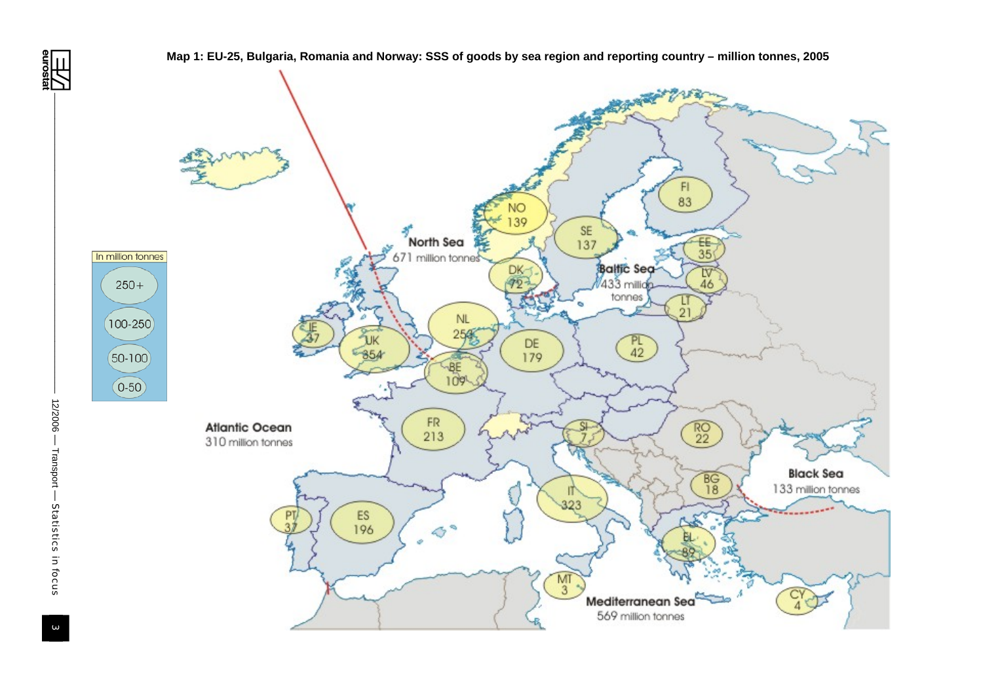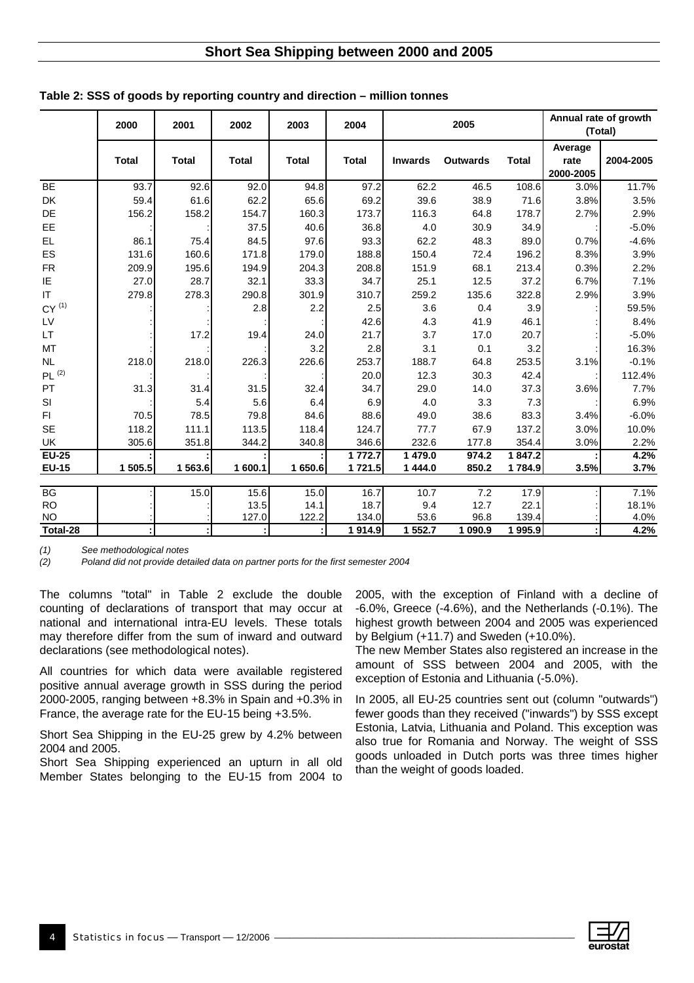## **Short Sea Shipping between 2000 and 2005**

|                        | 2000         | 2001         | 2002          | 2003          | 2004                 | 2005           |                 |               | (Total)                      | Annual rate of growth |
|------------------------|--------------|--------------|---------------|---------------|----------------------|----------------|-----------------|---------------|------------------------------|-----------------------|
|                        | <b>Total</b> | <b>Total</b> | <b>Total</b>  | <b>Total</b>  | <b>Total</b>         | <b>Inwards</b> | <b>Outwards</b> | <b>Total</b>  | Average<br>rate<br>2000-2005 | 2004-2005             |
| <b>BE</b>              | 93.7         | 92.6         | 92.0          | 94.8          | 97.2                 | 62.2           | 46.5            | 108.6         | 3.0%                         | 11.7%                 |
| DK                     | 59.4         | 61.6         | 62.2          | 65.6          | 69.2                 | 39.6           | 38.9            | 71.6          | 3.8%                         | 3.5%                  |
| DE                     | 156.2        | 158.2        | 154.7         | 160.3         | 173.7                | 116.3          | 64.8            | 178.7         | 2.7%                         | 2.9%                  |
| EE                     |              |              | 37.5          | 40.6          | 36.8                 | 4.0            | 30.9            | 34.9          |                              | $-5.0%$               |
| EL.                    | 86.1         | 75.4         | 84.5          | 97.6          | 93.3                 | 62.2           | 48.3            | 89.0          | 0.7%                         | $-4.6%$               |
| ES                     | 131.6        | 160.6        | 171.8         | 179.0         | 188.8                | 150.4          | 72.4            | 196.2         | 8.3%                         | 3.9%                  |
| <b>FR</b>              | 209.9        | 195.6        | 194.9         | 204.3         | 208.8                | 151.9          | 68.1            | 213.4         | 0.3%                         | 2.2%                  |
| IE                     | 27.0         | 28.7         | 32.1          | 33.3          | 34.7                 | 25.1           | 12.5            | 37.2          | 6.7%                         | 7.1%                  |
| IT.                    | 279.8        | 278.3        | 290.8         | 301.9         | 310.7                | 259.2          | 135.6           | 322.8         | 2.9%                         | 3.9%                  |
| $CY^{(1)}$             |              |              | 2.8           | 2.2           | 2.5                  | 3.6            | 0.4             | 3.9           |                              | 59.5%                 |
| LV                     |              |              |               |               | 42.6                 | 4.3            | 41.9            | 46.1          |                              | 8.4%                  |
| <b>LT</b>              |              | 17.2         | 19.4          | 24.0          | 21.7                 | 3.7            | 17.0            | 20.7          |                              | $-5.0%$               |
| MT                     |              |              |               | 3.2           | 2.8                  | 3.1            | 0.1             | 3.2           |                              | 16.3%                 |
| <b>NL</b>              | 218.0        | 218.0        | 226.3         | 226.6         | 253.7                | 188.7          | 64.8            | 253.5         | 3.1%                         | $-0.1%$               |
| PL <sup>(2)</sup>      |              |              |               |               | 20.0                 | 12.3           | 30.3            | 42.4          |                              | 112.4%                |
| PT                     | 31.3         | 31.4         | 31.5          | 32.4          | 34.7                 | 29.0           | 14.0            | 37.3          | 3.6%                         | 7.7%                  |
| SI                     |              | 5.4          | 5.6           | 6.4           | 6.9                  | 4.0            | 3.3             | 7.3           |                              | 6.9%                  |
| FI.                    | 70.5         | 78.5         | 79.8          | 84.6          | 88.6                 | 49.0           | 38.6            | 83.3          | 3.4%                         | $-6.0%$               |
| <b>SE</b>              | 118.2        | 111.1        | 113.5         | 118.4         | 124.7                | 77.7           | 67.9            | 137.2         | 3.0%                         | 10.0%                 |
| UK                     | 305.6        | 351.8        | 344.2         | 340.8         | 346.6                | 232.6          | 177.8           | 354.4         | 3.0%                         | 2.2%                  |
| $EU-25$                |              |              |               |               | 1 772.7              | 1479.0         | 974.2           | 1847.2        |                              | 4.2%                  |
| <b>EU-15</b>           | 1 505.5      | 1563.6       | 1 600.1       | 1650.6        | 1721.5               | 1 444.0        | 850.2           | 1784.9        | 3.5%                         | 3.7%                  |
|                        |              |              |               |               |                      |                |                 |               |                              |                       |
| BG                     |              | 15.0         | 15.6          | 15.0          | 16.7                 | 10.7           | 7.2             | 17.9          |                              | 7.1%                  |
| <b>RO</b><br><b>NO</b> |              |              | 13.5<br>127.0 | 14.1<br>122.2 | 18.7<br>134.0        | 9.4<br>53.6    | 12.7<br>96.8    | 22.1<br>139.4 |                              | 18.1%<br>4.0%         |
| Total-28               |              |              |               |               | $\overline{1}$ 914.9 | 1 552.7        | 1 090.9         | 1995.9        |                              | 4.2%                  |

| Table 2: SSS of goods by reporting country and direction - million tonnes |  |  |  |  |
|---------------------------------------------------------------------------|--|--|--|--|
|---------------------------------------------------------------------------|--|--|--|--|

*(1) See methodological notes* 

*(2) Poland did not provide detailed data on partner ports for the first semester 2004* 

The columns "total" in Table 2 exclude the double counting of declarations of transport that may occur at national and international intra-EU levels. These totals may therefore differ from the sum of inward and outward declarations (see methodological notes).

All countries for which data were available registered positive annual average growth in SSS during the period 2000-2005, ranging between +8.3% in Spain and +0.3% in France, the average rate for the EU-15 being +3.5%.

Short Sea Shipping in the EU-25 grew by 4.2% between 2004 and 2005.

Short Sea Shipping experienced an upturn in all old Member States belonging to the EU-15 from 2004 to 2005, with the exception of Finland with a decline of -6.0%, Greece (-4.6%), and the Netherlands (-0.1%). The highest growth between 2004 and 2005 was experienced by Belgium (+11.7) and Sweden (+10.0%).

The new Member States also registered an increase in the amount of SSS between 2004 and 2005, with the exception of Estonia and Lithuania (-5.0%).

In 2005, all EU-25 countries sent out (column "outwards") fewer goods than they received ("inwards") by SSS except Estonia, Latvia, Lithuania and Poland. This exception was also true for Romania and Norway. The weight of SSS goods unloaded in Dutch ports was three times higher than the weight of goods loaded.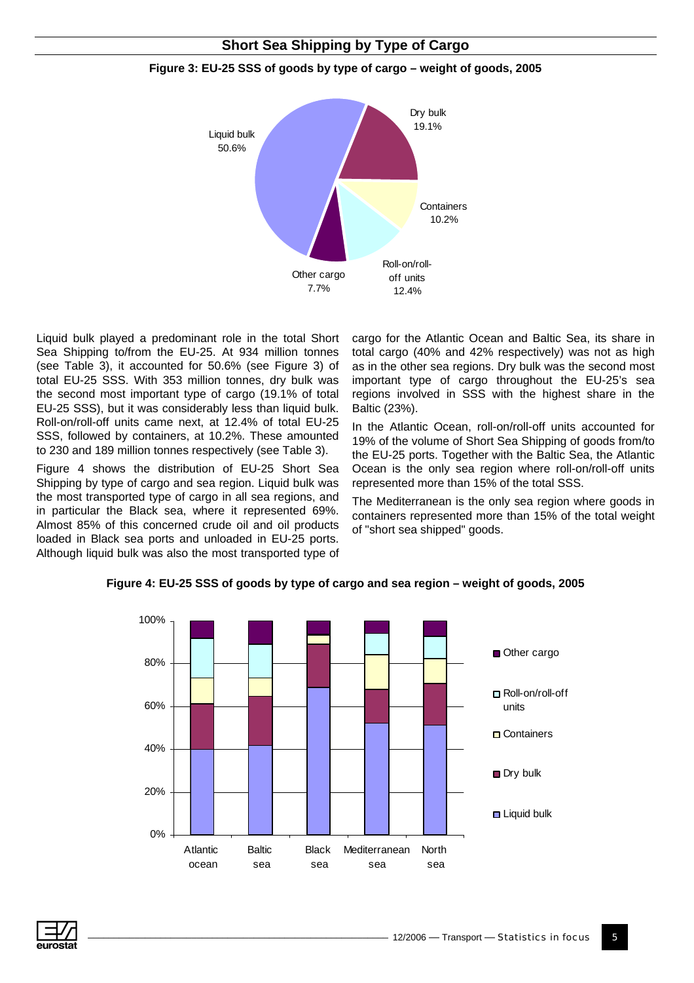## **Short Sea Shipping by Type of Cargo**



#### **Figure 3: EU-25 SSS of goods by type of cargo – weight of goods, 2005**

Liquid bulk played a predominant role in the total Short Sea Shipping to/from the EU-25. At 934 million tonnes (see Table 3), it accounted for 50.6% (see Figure 3) of total EU-25 SSS. With 353 million tonnes, dry bulk was the second most important type of cargo (19.1% of total EU-25 SSS), but it was considerably less than liquid bulk. Roll-on/roll-off units came next, at 12.4% of total EU-25 SSS, followed by containers, at 10.2%. These amounted to 230 and 189 million tonnes respectively (see Table 3).

Figure 4 shows the distribution of EU-25 Short Sea Shipping by type of cargo and sea region. Liquid bulk was the most transported type of cargo in all sea regions, and in particular the Black sea, where it represented 69%. Almost 85% of this concerned crude oil and oil products loaded in Black sea ports and unloaded in EU-25 ports. Although liquid bulk was also the most transported type of

cargo for the Atlantic Ocean and Baltic Sea, its share in total cargo (40% and 42% respectively) was not as high as in the other sea regions. Dry bulk was the second most important type of cargo throughout the EU-25's sea regions involved in SSS with the highest share in the Baltic (23%).

In the Atlantic Ocean, roll-on/roll-off units accounted for 19% of the volume of Short Sea Shipping of goods from/to the EU-25 ports. Together with the Baltic Sea, the Atlantic Ocean is the only sea region where roll-on/roll-off units represented more than 15% of the total SSS.

The Mediterranean is the only sea region where goods in containers represented more than 15% of the total weight of "short sea shipped" goods.



#### **Figure 4: EU-25 SSS of goods by type of cargo and sea region – weight of goods, 2005**

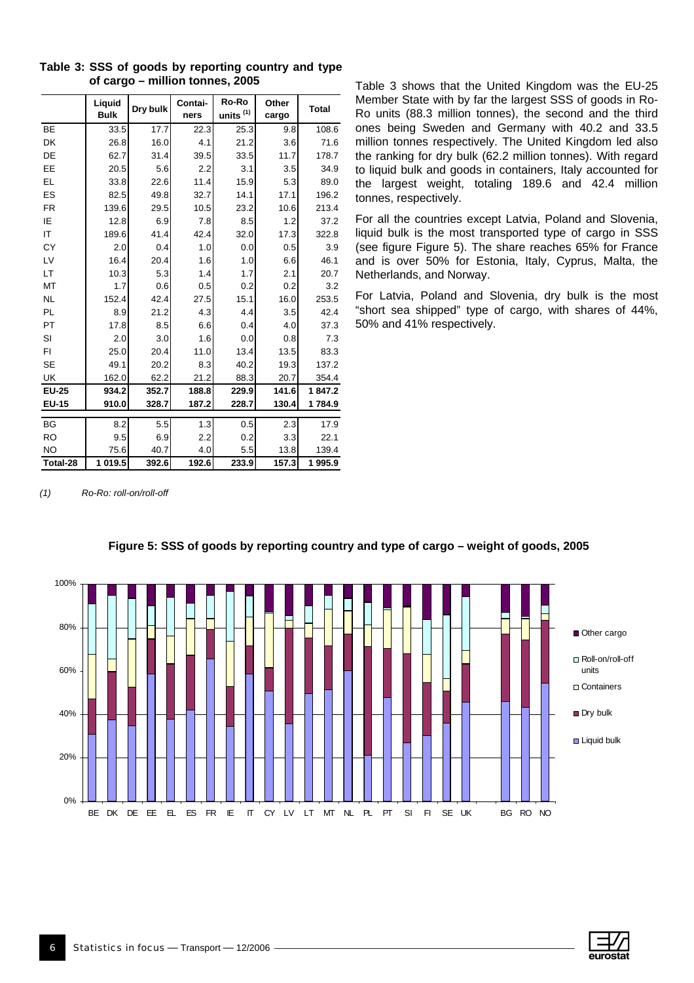|              | Liquid<br><b>Bulk</b> | Dry bulk | Contai-<br>ners | Ro-Ro<br>units <sup>(1)</sup> | Other<br>cargo | <b>Total</b> |
|--------------|-----------------------|----------|-----------------|-------------------------------|----------------|--------------|
| BE           | 33.5                  | 17.7     | 22.3            | 25.3                          | 9.8            | 108.6        |
| DK           | 26.8                  | 16.0     | 4.1             | 21.2                          | 3.6            | 71.6         |
| DE           | 62.7                  | 31.4     | 39.5            | 33.5                          | 11.7           | 178.7        |
| EE           | 20.5                  | 5.6      | 2.2             | 3.1                           | 3.5            | 34.9         |
| EL           | 33.8                  | 22.6     | 11.4            | 15.9                          | 5.3            | 89.0         |
| ES           | 82.5                  | 49.8     | 32.7            | 14.1                          | 17.1           | 196.2        |
| <b>FR</b>    | 139.6                 | 29.5     | 10.5            | 23.2                          | 10.6           | 213.4        |
| IE           | 12.8                  | 6.9      | 7.8             | 8.5                           | 1.2            | 37.2         |
| IT           | 189.6                 | 41.4     | 42.4            | 32.0                          | 17.3           | 322.8        |
| <b>CY</b>    | 2.0                   | 0.4      | 1.0             | 0.0                           | 0.5            | 3.9          |
| LV           | 16.4                  | 20.4     | 1.6             | 1.0                           | 6.6            | 46.1         |
| LT           | 10.3                  | 5.3      | 1.4             | 1.7                           | 2.1            | 20.7         |
| MT           | 1.7                   | 0.6      | 0.5             | 0.2                           | 0.2            | 3.2          |
| <b>NL</b>    | 152.4                 | 42.4     | 27.5            | 15.1                          | 16.0           | 253.5        |
| <b>PL</b>    | 8.9                   | 21.2     | 4.3             | 4.4                           | 3.5            | 42.4         |
| PT           | 17.8                  | 8.5      | 6.6             | 0.4                           | 4.0            | 37.3         |
| SI           | 2.0                   | 3.0      | 1.6             | 0.0                           | 0.8            | 7.3          |
| FI           | 25.0                  | 20.4     | 11.0            | 13.4                          | 13.5           | 83.3         |
| <b>SE</b>    | 49.1                  | 20.2     | 8.3             | 40.2                          | 19.3           | 137.2        |
| UK           | 162.0                 | 62.2     | 21.2            | 88.3                          | 20.7           | 354.4        |
| <b>EU-25</b> | 934.2                 | 352.7    | 188.8           | 229.9                         | 141.6          | 1847.2       |
| <b>EU-15</b> | 910.0                 | 328.7    | 187.2           | 228.7                         | 130.4          | 1784.9       |
| <b>BG</b>    | 8.2                   | 5.5      | 1.3             | 0.5                           | 2.3            | 17.9         |
| <b>RO</b>    | 9.5                   | 6.9      | 2.2             | 0.2                           | 3.3            | 22.1         |
| <b>NO</b>    | 75.6                  | 40.7     | 4.0             | 5.5                           | 13.8           | 139.4        |
| Total-28     | 1 019.5               | 392.6    | 192.6           | 233.9                         | 157.3          | 1995.9       |

**Table 3: SSS of goods by reporting country and type of cargo – million tonnes, 2005**

Table 3 shows that the United Kingdom was the EU-25 Member State with by far the largest SSS of goods in Ro-Ro units (88.3 million tonnes), the second and the third ones being Sweden and Germany with 40.2 and 33.5 million tonnes respectively. The United Kingdom led also the ranking for dry bulk (62.2 million tonnes). With regard to liquid bulk and goods in containers, Italy accounted for the largest weight, totaling 189.6 and 42.4 million tonnes, respectively.

For all the countries except Latvia, Poland and Slovenia, liquid bulk is the most transported type of cargo in SSS (see figure Figure 5). The share reaches 65% for France and is over 50% for Estonia, Italy, Cyprus, Malta, the Netherlands, and Norway.

For Latvia, Poland and Slovenia, dry bulk is the most "short sea shipped" type of cargo, with shares of 44%, 50% and 41% respectively.

*(1) Ro-Ro: roll-on/roll-off*



**Figure 5: SSS of goods by reporting country and type of cargo – weight of goods, 2005** 

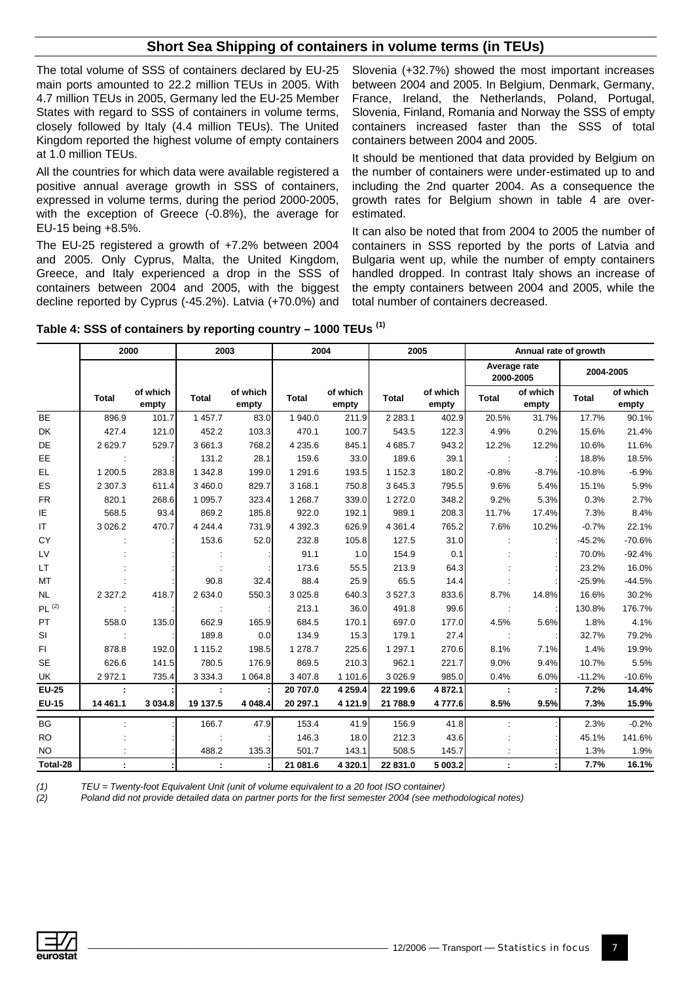## **Short Sea Shipping of containers in volume terms (in TEUs)**

The total volume of SSS of containers declared by EU-25 main ports amounted to 22.2 million TEUs in 2005. With 4.7 million TEUs in 2005, Germany led the EU-25 Member States with regard to SSS of containers in volume terms, closely followed by Italy (4.4 million TEUs). The United Kingdom reported the highest volume of empty containers at 1.0 million TEUs.

All the countries for which data were available registered a positive annual average growth in SSS of containers, expressed in volume terms, during the period 2000-2005, with the exception of Greece (-0.8%), the average for EU-15 being +8.5%.

The EU-25 registered a growth of +7.2% between 2004 and 2005. Only Cyprus, Malta, the United Kingdom, Greece, and Italy experienced a drop in the SSS of containers between 2004 and 2005, with the biggest decline reported by Cyprus (-45.2%). Latvia (+70.0%) and Slovenia (+32.7%) showed the most important increases between 2004 and 2005. In Belgium, Denmark, Germany, France, Ireland, the Netherlands, Poland, Portugal, Slovenia, Finland, Romania and Norway the SSS of empty containers increased faster than the SSS of total containers between 2004 and 2005.

It should be mentioned that data provided by Belgium on the number of containers were under-estimated up to and including the 2nd quarter 2004. As a consequence the growth rates for Belgium shown in table 4 are overestimated.

It can also be noted that from 2004 to 2005 the number of containers in SSS reported by the ports of Latvia and Bulgaria went up, while the number of empty containers handled dropped. In contrast Italy shows an increase of the empty containers between 2004 and 2005, while the total number of containers decreased.

|                   | 2000                 |                   | 2003         |                   | 2004       |                   | 2005         |                   | Annual rate of growth     |                   |              |                   |
|-------------------|----------------------|-------------------|--------------|-------------------|------------|-------------------|--------------|-------------------|---------------------------|-------------------|--------------|-------------------|
|                   |                      |                   |              |                   |            |                   |              |                   | Average rate<br>2000-2005 |                   | 2004-2005    |                   |
|                   | <b>Total</b>         | of which<br>empty | <b>Total</b> | of which<br>empty | Total      | of which<br>empty | <b>Total</b> | of which<br>empty | <b>Total</b>              | of which<br>empty | <b>Total</b> | of which<br>empty |
| <b>BE</b>         | 896.9                | 101.7             | 1 457.7      | 83.0              | 1940.0     | 211.9             | 2 2 8 3 . 1  | 402.9             | 20.5%                     | 31.7%             | 17.7%        | 90.1%             |
| DK                | 427.4                | 121.0             | 452.2        | 103.3             | 470.1      | 100.7             | 543.5        | 122.3             | 4.9%                      | 0.2%              | 15.6%        | 21.4%             |
| DE                | 2629.7               | 529.7             | 3 661.3      | 768.2             | 4 2 3 5.6  | 845.1             | 4 685.7      | 943.2             | 12.2%                     | 12.2%             | 10.6%        | 11.6%             |
| EE                |                      |                   | 131.2        | 28.1              | 159.6      | 33.0              | 189.6        | 39.1              |                           |                   | 18.8%        | 18.5%             |
| EL                | 1 200.5              | 283.8             | 1 342.8      | 199.0             | 1 2 9 1 .6 | 193.5             | 1 1 5 2 . 3  | 180.2             | $-0.8%$                   | $-8.7%$           | $-10.8%$     | $-6.9%$           |
| ES                | 2 3 0 7 .3           | 611.4             | 3 460.0      | 829.7             | 3 1 68.1   | 750.8             | 3645.3       | 795.5             | 9.6%                      | 5.4%              | 15.1%        | 5.9%              |
| <b>FR</b>         | 820.1                | 268.6             | 1 0 9 5.7    | 323.4             | 1 2 68.7   | 339.0             | 1 272.0      | 348.2             | 9.2%                      | 5.3%              | 0.3%         | 2.7%              |
| ΙE                | 568.5                | 93.4              | 869.2        | 185.8             | 922.0      | 192.1             | 989.1        | 208.3             | 11.7%                     | 17.4%             | 7.3%         | 8.4%              |
| IT.               | 3 0 26.2             | 470.7             | 4 2 4 4 .4   | 731.9             | 4 3 9 2.3  | 626.9             | 4 3 6 1 . 4  | 765.2             | 7.6%                      | 10.2%             | $-0.7%$      | 22.1%             |
| CY                |                      |                   | 153.6        | 52.0              | 232.8      | 105.8             | 127.5        | 31.0              |                           |                   | $-45.2%$     | $-70.6%$          |
| LV                |                      |                   |              |                   | 91.1       | 1.0               | 154.9        | 0.1               |                           |                   | 70.0%        | $-92.4%$          |
| LT.               |                      |                   |              |                   | 173.6      | 55.5              | 213.9        | 64.3              |                           |                   | 23.2%        | 16.0%             |
| MT                |                      |                   | 90.8         | 32.4              | 88.4       | 25.9              | 65.5         | 14.4              |                           |                   | $-25.9%$     | $-44.5%$          |
| <b>NL</b>         | 2 3 2 7 .2           | 418.7             | 2 634.0      | 550.3             | 3 0 25.8   | 640.3             | 3527.3       | 833.6             | 8.7%                      | 14.8%             | 16.6%        | 30.2%             |
| PL <sup>(2)</sup> |                      |                   |              |                   | 213.1      | 36.0              | 491.8        | 99.6              | ÷                         |                   | 130.8%       | 176.7%            |
| PT                | 558.0                | 135.0             | 662.9        | 165.9             | 684.5      | 170.1             | 697.0        | 177.0             | 4.5%                      | 5.6%              | 1.8%         | 4.1%              |
| SI                |                      |                   | 189.8        | 0.0               | 134.9      | 15.3              | 179.1        | 27.4              |                           |                   | 32.7%        | 79.2%             |
| FI.               | 878.8                | 192.0             | 1 1 1 5 . 2  | 198.5             | 1 278.7    | 225.6             | 1 2 9 7 . 1  | 270.6             | 8.1%                      | 7.1%              | 1.4%         | 19.9%             |
| <b>SE</b>         | 626.6                | 141.5             | 780.5        | 176.9             | 869.5      | 210.3             | 962.1        | 221.7             | 9.0%                      | 9.4%              | 10.7%        | 5.5%              |
| UK                | 2 9 7 2.1            | 735.4             | 3 3 3 4 . 3  | 1 0 64.8          | 3 407.8    | 1 101.6           | 3 0 26.9     | 985.0             | 0.4%                      | 6.0%              | $-11.2%$     | $-10.6%$          |
| <b>EU-25</b>      | $\ddot{\phantom{a}}$ |                   |              |                   | 20 707.0   | 4 259.4           | 22 199.6     | 4872.1            | ÷                         |                   | 7.2%         | 14.4%             |
| <b>EU-15</b>      | 14 4 61.1            | 3 0 34.8          | 19 137.5     | 4 048.4           | 20 297.1   | 4 121.9           | 21 788.9     | 4 777.6           | 8.5%                      | 9.5%              | 7.3%         | 15.9%             |
| <b>BG</b>         |                      |                   | 166.7        | 47.9              | 153.4      | 41.9              | 156.9        | 41.8              |                           |                   | 2.3%         | $-0.2%$           |
| <b>RO</b>         |                      |                   |              |                   | 146.3      | 18.0              | 212.3        | 43.6              |                           |                   | 45.1%        | 141.6%            |
| NO.               |                      |                   | 488.2        | 135.3             | 501.7      | 143.1             | 508.5        | 145.7             |                           |                   | 1.3%         | 1.9%              |
| Total-28          |                      |                   |              |                   | 21 081.6   | 4 3 2 0.1         | 22 831.0     | 5 003.2           |                           |                   | 7.7%         | 16.1%             |

**Table 4: SSS of containers by reporting country – 1000 TEUs (1)**

*(1) TEU = Twenty-foot Equivalent Unit (unit of volume equivalent to a 20 foot ISO container) (2) Poland did not provide detailed data on partner ports for the first semester 2004 (see methodological notes)* 

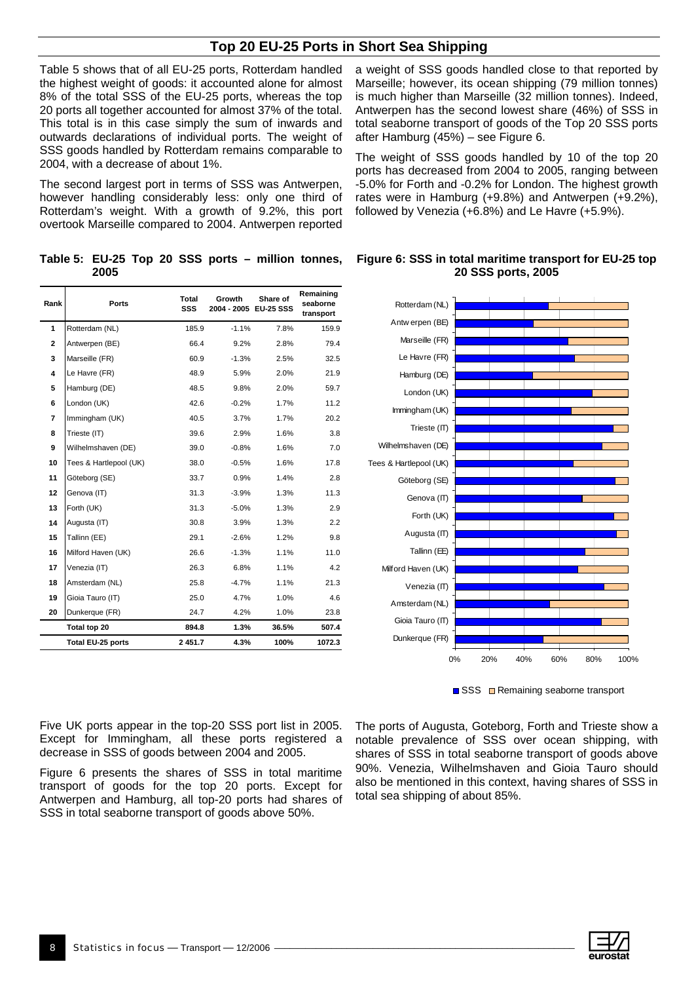## **Top 20 EU-25 Ports in Short Sea Shipping**

Table 5 shows that of all EU-25 ports, Rotterdam handled the highest weight of goods: it accounted alone for almost 8% of the total SSS of the EU-25 ports, whereas the top 20 ports all together accounted for almost 37% of the total. This total is in this case simply the sum of inwards and outwards declarations of individual ports. The weight of SSS goods handled by Rotterdam remains comparable to 2004, with a decrease of about 1%.

The second largest port in terms of SSS was Antwerpen, however handling considerably less: only one third of Rotterdam's weight. With a growth of 9.2%, this port overtook Marseille compared to 2004. Antwerpen reported

**Table 5: EU-25 Top 20 SSS ports – million tonnes, 2005** 

| Rank           | Ports                    | Total<br>SSS | Growth<br>2004 - 2005 EU-25 SSS | Share of | Remaining<br>seaborne<br>transport |
|----------------|--------------------------|--------------|---------------------------------|----------|------------------------------------|
| $\mathbf{1}$   | Rotterdam (NL)           | 185.9        | $-1.1%$                         | 7.8%     | 159.9                              |
| $\mathbf{2}$   | Antwerpen (BE)           | 66.4         | 9.2%                            | 2.8%     | 79.4                               |
| 3              | Marseille (FR)           | 60.9         | $-1.3%$                         | 2.5%     | 32.5                               |
| 4              | Le Havre (FR)            | 48.9         | 5.9%                            | 2.0%     | 21.9                               |
| 5              | Hamburg (DE)             | 48.5         | 9.8%                            | 2.0%     | 59.7                               |
| 6              | London (UK)              | 42.6         | $-0.2%$                         | 1.7%     | 11.2                               |
| $\overline{7}$ | Immingham (UK)           | 40.5         | 3.7%                            | 1.7%     | 20.2                               |
| 8              | Trieste (IT)             | 39.6         | 2.9%                            | 1.6%     | 3.8                                |
| 9              | Wilhelmshaven (DE)       | 39.0         | $-0.8%$                         | 1.6%     | 7.0                                |
| 10             | Tees & Hartlepool (UK)   | 38.0         | $-0.5%$                         | 1.6%     | 17.8                               |
| 11             | Göteborg (SE)            | 33.7         | 0.9%                            | 1.4%     | 2.8                                |
| 12             | Genova (IT)              | 31.3         | $-3.9%$                         | 1.3%     | 11.3                               |
| 13             | Forth (UK)               | 31.3         | $-5.0%$                         | 1.3%     | 2.9                                |
| 14             | Augusta (IT)             | 30.8         | 3.9%                            | 1.3%     | 2.2                                |
| 15             | Tallinn (EE)             | 29.1         | $-2.6%$                         | 1.2%     | 9.8                                |
| 16             | Milford Haven (UK)       | 26.6         | $-1.3%$                         | 1.1%     | 11.0                               |
| 17             | Venezia (IT)             | 26.3         | 6.8%                            | 1.1%     | 4.2                                |
| 18             | Amsterdam (NL)           | 25.8         | $-4.7%$                         | 1.1%     | 21.3                               |
| 19             | Gioia Tauro (IT)         | 25.0         | 4.7%                            | 1.0%     | 4.6                                |
| 20             | Dunkerque (FR)           | 24.7         | 4.2%                            | 1.0%     | 23.8                               |
|                | Total top 20             | 894.8        | 1.3%                            | 36.5%    | 507.4                              |
|                | <b>Total EU-25 ports</b> | 2451.7       | 4.3%                            | 100%     | 1072.3                             |

a weight of SSS goods handled close to that reported by Marseille; however, its ocean shipping (79 million tonnes) is much higher than Marseille (32 million tonnes). Indeed, Antwerpen has the second lowest share (46%) of SSS in total seaborne transport of goods of the Top 20 SSS ports after Hamburg (45%) – see Figure 6.

The weight of SSS goods handled by 10 of the top 20 ports has decreased from 2004 to 2005, ranging between -5.0% for Forth and -0.2% for London. The highest growth rates were in Hamburg (+9.8%) and Antwerpen (+9.2%), followed by Venezia (+6.8%) and Le Havre (+5.9%).



**Figure 6: SSS in total maritime transport for EU-25 top 20 SSS ports, 2005**

■ SSS ■ Remaining seaborne transport

Five UK ports appear in the top-20 SSS port list in 2005. Except for Immingham, all these ports registered a decrease in SSS of goods between 2004 and 2005.

Figure 6 presents the shares of SSS in total maritime transport of goods for the top 20 ports. Except for Antwerpen and Hamburg, all top-20 ports had shares of SSS in total seaborne transport of goods above 50%.

The ports of Augusta, Goteborg, Forth and Trieste show a notable prevalence of SSS over ocean shipping, with shares of SSS in total seaborne transport of goods above 90%. Venezia, Wilhelmshaven and Gioia Tauro should also be mentioned in this context, having shares of SSS in total sea shipping of about 85%.

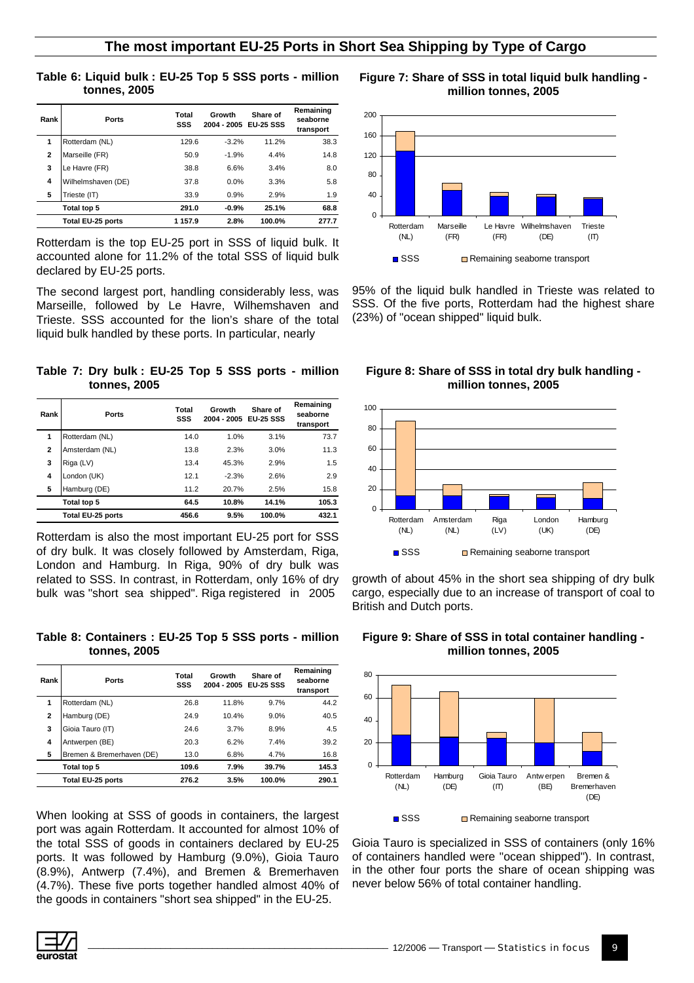#### **Table 6: Liquid bulk : EU-25 Top 5 SSS ports - million tonnes, 2005**

| Rank         | Ports              | Total<br>SSS | Growth<br>2004 - 2005 | Share of<br><b>EU-25 SSS</b> | Remaining<br>seaborne<br>transport |
|--------------|--------------------|--------------|-----------------------|------------------------------|------------------------------------|
| 1            | Rotterdam (NL)     | 129.6        | $-3.2%$               | 11.2%                        | 38.3                               |
| $\mathbf{2}$ | Marseille (FR)     | 50.9         | $-1.9%$               | 4.4%                         | 14.8                               |
| 3            | Le Havre (FR)      | 38.8         | 6.6%                  | 3.4%                         | 8.0                                |
| 4            | Wilhelmshaven (DE) | 37.8         | 0.0%                  | 3.3%                         | 5.8                                |
| 5            | Trieste (IT)       | 33.9         | 0.9%                  | 2.9%                         | 1.9                                |
|              | Total top 5        | 291.0        | $-0.9%$               | 25.1%                        | 68.8                               |
|              | Total EU-25 ports  | 1 157.9      | 2.8%                  | 100.0%                       | 277.7                              |

Rotterdam is the top EU-25 port in SSS of liquid bulk. It accounted alone for 11.2% of the total SSS of liquid bulk declared by EU-25 ports.

The second largest port, handling considerably less, was Marseille, followed by Le Havre, Wilhemshaven and Trieste. SSS accounted for the lion's share of the total liquid bulk handled by these ports. In particular, nearly

**Table 7: Dry bulk : EU-25 Top 5 SSS ports - million tonnes, 2005** 

| Rank           | <b>Ports</b>      | Total<br>SSS | Growth<br>2004 - 2005 | Share of<br><b>EU-25 SSS</b> | Remaining<br>seaborne<br>transport |
|----------------|-------------------|--------------|-----------------------|------------------------------|------------------------------------|
| 1              | Rotterdam (NL)    | 14.0         | 1.0%                  | 3.1%                         | 73.7                               |
| $\overline{2}$ | Amsterdam (NL)    | 13.8         | 2.3%                  | 3.0%                         | 11.3                               |
| 3              | Riga (LV)         | 13.4         | 45.3%                 | 2.9%                         | 1.5                                |
| 4              | London (UK)       | 12.1         | $-2.3%$               | 2.6%                         | 2.9                                |
| 5              | Hamburg (DE)      | 11.2         | 20.7%                 | 2.5%                         | 15.8                               |
|                | Total top 5       | 64.5         | 10.8%                 | 14.1%                        | 105.3                              |
|                | Total EU-25 ports | 456.6        | 9.5%                  | 100.0%                       | 432.1                              |

Rotterdam is also the most important EU-25 port for SSS of dry bulk. It was closely followed by Amsterdam, Riga, London and Hamburg. In Riga, 90% of dry bulk was related to SSS. In contrast, in Rotterdam, only 16% of dry bulk was "short sea shipped". Riga registered in 2005

**Table 8: Containers : EU-25 Top 5 SSS ports - million tonnes, 2005** 

| Rank         | <b>Ports</b>              | Total<br>SSS | Growth<br>2004 - 2005 EU-25 SSS | Share of | Remaining<br>seaborne<br>transport |
|--------------|---------------------------|--------------|---------------------------------|----------|------------------------------------|
| 1            | Rotterdam (NL)            | 26.8         | 11.8%                           | 9.7%     | 44.2                               |
| $\mathbf{2}$ | Hamburg (DE)              | 24.9         | 10.4%                           | 9.0%     | 40.5                               |
| 3            | Gioia Tauro (IT)          | 24.6         | 3.7%                            | 8.9%     | 4.5                                |
| 4            | Antwerpen (BE)            | 20.3         | 6.2%                            | 7.4%     | 39.2                               |
| 5            | Bremen & Bremerhaven (DE) | 13.0         | 6.8%                            | 4.7%     | 16.8                               |
|              | Total top 5               | 109.6        | 7.9%                            | 39.7%    | 145.3                              |
|              | Total EU-25 ports         | 276.2        | 3.5%                            | 100.0%   | 290.1                              |

When looking at SSS of goods in containers, the largest port was again Rotterdam. It accounted for almost 10% of the total SSS of goods in containers declared by EU-25 ports. It was followed by Hamburg (9.0%), Gioia Tauro (8.9%), Antwerp (7.4%), and Bremen & Bremerhaven (4.7%). These five ports together handled almost 40% of the goods in containers "short sea shipped" in the EU-25.



**Figure 7: Share of SSS in total liquid bulk handling -** 

95% of the liquid bulk handled in Trieste was related to SSS. Of the five ports, Rotterdam had the highest share (23%) of "ocean shipped" liquid bulk.

**Figure 8: Share of SSS in total dry bulk handling million tonnes, 2005** 



growth of about 45% in the short sea shipping of dry bulk cargo, especially due to an increase of transport of coal to British and Dutch ports.





Gioia Tauro is specialized in SSS of containers (only 16% of containers handled were "ocean shipped"). In contrast, in the other four ports the share of ocean shipping was never below 56% of total container handling.

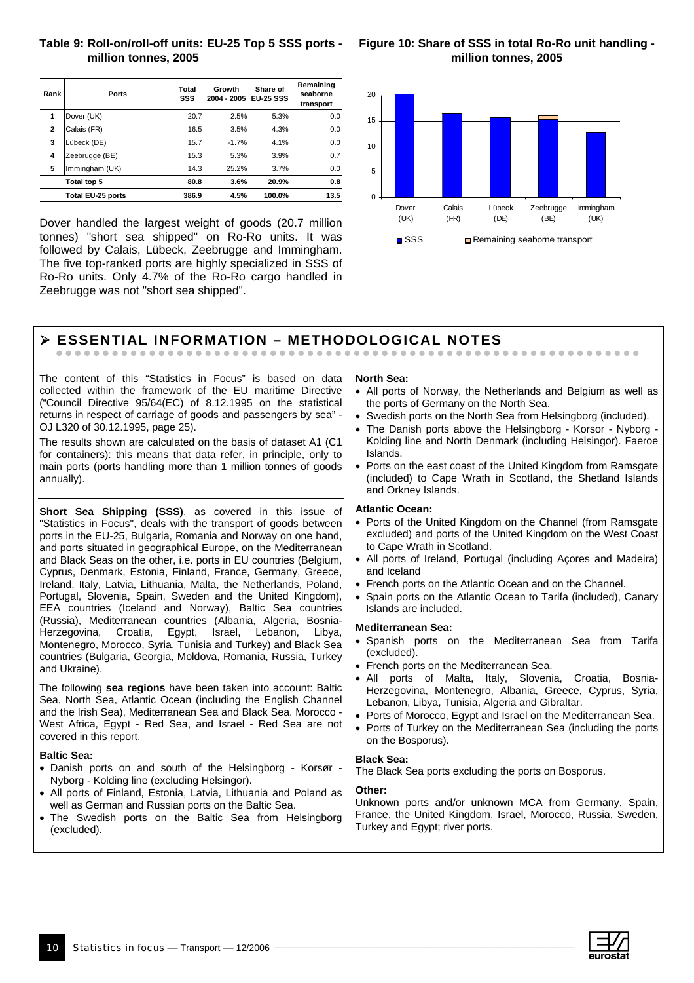#### **Table 9: Roll-on/roll-off units: EU-25 Top 5 SSS ports million tonnes, 2005**

| Figure 10: Share of SSS in total Ro-Ro unit handling - |  |
|--------------------------------------------------------|--|
| million tonnes, 2005                                   |  |

| Rank           | Ports             | Total<br>SSS | Growth<br>2004 - 2005 | Share of<br><b>EU-25 SSS</b> | Remaining<br>seaborne<br>transport |
|----------------|-------------------|--------------|-----------------------|------------------------------|------------------------------------|
| 1              | Dover (UK)        | 20.7         | 2.5%                  | 5.3%                         | 0.0                                |
| $\overline{2}$ | Calais (FR)       | 16.5         | 3.5%                  | 4.3%                         | 0.0                                |
| 3              | Lübeck (DE)       | 15.7         | $-1.7%$               | 4.1%                         | 0.0                                |
| 4              | Zeebrugge (BE)    | 15.3         | 5.3%                  | 3.9%                         | 0.7                                |
| 5              | Immingham (UK)    | 14.3         | 25.2%                 | 3.7%                         | 0.0                                |
|                | Total top 5       | 80.8         | 3.6%                  | 20.9%                        | 0.8                                |
|                | Total EU-25 ports | 386.9        | 4.5%                  | 100.0%                       | 13.5                               |

Dover handled the largest weight of goods (20.7 million tonnes) "short sea shipped" on Ro-Ro units. It was followed by Calais, Lübeck, Zeebrugge and Immingham. The five top-ranked ports are highly specialized in SSS of Ro-Ro units. Only 4.7% of the Ro-Ro cargo handled in Zeebrugge was not "short sea shipped".



#### ¾ **ESSENTIAL INFORMATION – METHODOLOGICAL NOTES**  zzzzzzzzzzzzzzzzzzzzzzzzzzzzzzzzzzzzzzzzzzzzzzzzzzzzzzzzzzzzzzz

The content of this "Statistics in Focus" is based on data collected within the framework of the EU maritime Directive ("Council Directive 95/64(EC) of 8.12.1995 on the statistical returns in respect of carriage of goods and passengers by sea" - OJ L320 of 30.12.1995, page 25).

The results shown are calculated on the basis of dataset A1 (C1 for containers): this means that data refer, in principle, only to main ports (ports handling more than 1 million tonnes of goods annually).

**Short Sea Shipping (SSS)**, as covered in this issue of "Statistics in Focus", deals with the transport of goods between ports in the EU-25, Bulgaria, Romania and Norway on one hand, and ports situated in geographical Europe, on the Mediterranean and Black Seas on the other, i.e. ports in EU countries (Belgium, Cyprus, Denmark, Estonia, Finland, France, Germany, Greece, Ireland, Italy, Latvia, Lithuania, Malta, the Netherlands, Poland, Portugal, Slovenia, Spain, Sweden and the United Kingdom), EEA countries (Iceland and Norway), Baltic Sea countries (Russia), Mediterranean countries (Albania, Algeria, Bosnia-Herzegovina, Croatia, Egypt, Israel, Lebanon, Libya, Montenegro, Morocco, Syria, Tunisia and Turkey) and Black Sea countries (Bulgaria, Georgia, Moldova, Romania, Russia, Turkey and Ukraine).

The following **sea regions** have been taken into account: Baltic Sea, North Sea, Atlantic Ocean (including the English Channel and the Irish Sea), Mediterranean Sea and Black Sea. Morocco - West Africa, Egypt - Red Sea, and Israel - Red Sea are not covered in this report.

#### **Baltic Sea:**

- Danish ports on and south of the Helsingborg Korsør Nyborg - Kolding line (excluding Helsingor).
- All ports of Finland, Estonia, Latvia, Lithuania and Poland as well as German and Russian ports on the Baltic Sea.
- The Swedish ports on the Baltic Sea from Helsingborg (excluded).

#### **North Sea:**

- All ports of Norway, the Netherlands and Belgium as well as the ports of Germany on the North Sea.
- Swedish ports on the North Sea from Helsingborg (included).
- The Danish ports above the Helsingborg Korsor Nyborg Kolding line and North Denmark (including Helsingor). Faeroe Islands.
- Ports on the east coast of the United Kingdom from Ramsgate (included) to Cape Wrath in Scotland, the Shetland Islands and Orkney Islands.

#### **Atlantic Ocean:**

- Ports of the United Kingdom on the Channel (from Ramsgate excluded) and ports of the United Kingdom on the West Coast to Cape Wrath in Scotland.
- All ports of Ireland, Portugal (including Açores and Madeira) and Iceland
- French ports on the Atlantic Ocean and on the Channel.
- Spain ports on the Atlantic Ocean to Tarifa (included), Canary Islands are included.

#### **Mediterranean Sea:**

- Spanish ports on the Mediterranean Sea from Tarifa (excluded).
- French ports on the Mediterranean Sea.
- All ports of Malta, Italy, Slovenia, Croatia, Bosnia-Herzegovina, Montenegro, Albania, Greece, Cyprus, Syria, Lebanon, Libya, Tunisia, Algeria and Gibraltar.
- Ports of Morocco, Egypt and Israel on the Mediterranean Sea.
- Ports of Turkey on the Mediterranean Sea (including the ports on the Bosporus).

#### **Black Sea:**

The Black Sea ports excluding the ports on Bosporus.

#### **Other:**

Unknown ports and/or unknown MCA from Germany, Spain, France, the United Kingdom, Israel, Morocco, Russia, Sweden, Turkey and Egypt; river ports.

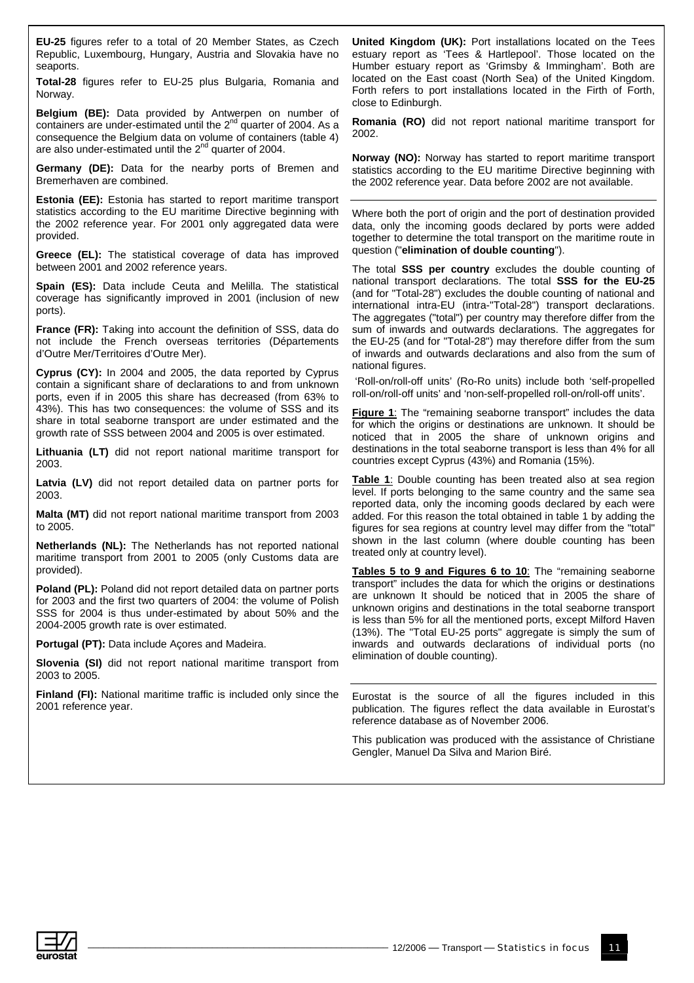**EU-25** figures refer to a total of 20 Member States, as Czech Republic, Luxembourg, Hungary, Austria and Slovakia have no seaports.

**Total-28** figures refer to EU-25 plus Bulgaria, Romania and Norway.

**Belgium (BE):** Data provided by Antwerpen on number of containers are under-estimated until the 2<sup>nd</sup> quarter of 2004. As a consequence the Belgium data on volume of containers (table 4) are also under-estimated until the 2<sup>nd</sup> quarter of 2004.

**Germany (DE):** Data for the nearby ports of Bremen and Bremerhaven are combined.

**Estonia (EE):** Estonia has started to report maritime transport statistics according to the EU maritime Directive beginning with the 2002 reference year. For 2001 only aggregated data were provided.

**Greece (EL):** The statistical coverage of data has improved between 2001 and 2002 reference years.

**Spain (ES):** Data include Ceuta and Melilla. The statistical coverage has significantly improved in 2001 (inclusion of new ports).

**France (FR):** Taking into account the definition of SSS, data do not include the French overseas territories (Départements d'Outre Mer/Territoires d'Outre Mer).

**Cyprus (CY):** In 2004 and 2005, the data reported by Cyprus contain a significant share of declarations to and from unknown ports, even if in 2005 this share has decreased (from 63% to 43%). This has two consequences: the volume of SSS and its share in total seaborne transport are under estimated and the growth rate of SSS between 2004 and 2005 is over estimated.

**Lithuania (LT)** did not report national maritime transport for 2003.

Latvia (LV) did not report detailed data on partner ports for 2003.

**Malta (MT)** did not report national maritime transport from 2003 to 2005.

**Netherlands (NL):** The Netherlands has not reported national maritime transport from 2001 to 2005 (only Customs data are provided).

**Poland (PL):** Poland did not report detailed data on partner ports for 2003 and the first two quarters of 2004: the volume of Polish SSS for 2004 is thus under-estimated by about 50% and the 2004-2005 growth rate is over estimated.

**Portugal (PT):** Data include Açores and Madeira.

**Slovenia (SI)** did not report national maritime transport from 2003 to 2005.

**Finland (FI):** National maritime traffic is included only since the 2001 reference year.

**United Kingdom (UK):** Port installations located on the Tees estuary report as 'Tees & Hartlepool'. Those located on the Humber estuary report as 'Grimsby & Immingham'. Both are located on the East coast (North Sea) of the United Kingdom. Forth refers to port installations located in the Firth of Forth, close to Edinburgh.

**Romania (RO)** did not report national maritime transport for 2002.

**Norway (NO):** Norway has started to report maritime transport statistics according to the EU maritime Directive beginning with the 2002 reference year. Data before 2002 are not available.

Where both the port of origin and the port of destination provided data, only the incoming goods declared by ports were added together to determine the total transport on the maritime route in question ("**elimination of double counting**").

The total **SSS per country** excludes the double counting of national transport declarations. The total **SSS for the EU-25** (and for "Total-28") excludes the double counting of national and international intra-EU (intra-"Total-28") transport declarations. The aggregates ("total") per country may therefore differ from the sum of inwards and outwards declarations. The aggregates for the EU-25 (and for "Total-28") may therefore differ from the sum of inwards and outwards declarations and also from the sum of national figures.

 'Roll-on/roll-off units' (Ro-Ro units) include both 'self-propelled roll-on/roll-off units' and 'non-self-propelled roll-on/roll-off units'.

**Figure 1:** The "remaining seaborne transport" includes the data for which the origins or destinations are unknown. It should be noticed that in 2005 the share of unknown origins and destinations in the total seaborne transport is less than 4% for all countries except Cyprus (43%) and Romania (15%).

**Table 1**: Double counting has been treated also at sea region level. If ports belonging to the same country and the same sea reported data, only the incoming goods declared by each were added. For this reason the total obtained in table 1 by adding the figures for sea regions at country level may differ from the "total" shown in the last column (where double counting has been treated only at country level).

**Tables 5 to 9 and Figures 6 to 10**: The "remaining seaborne transport" includes the data for which the origins or destinations are unknown It should be noticed that in 2005 the share of unknown origins and destinations in the total seaborne transport is less than 5% for all the mentioned ports, except Milford Haven (13%). The "Total EU-25 ports" aggregate is simply the sum of inwards and outwards declarations of individual ports (no elimination of double counting).

Eurostat is the source of all the figures included in this publication. The figures reflect the data available in Eurostat's reference database as of November 2006.

This publication was produced with the assistance of Christiane Gengler, Manuel Da Silva and Marion Biré.